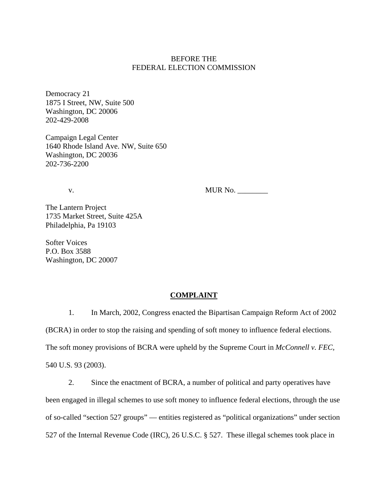## BEFORE THE FEDERAL ELECTION COMMISSION

Democracy 21 1875 I Street, NW, Suite 500 Washington, DC 20006 202-429-2008

Campaign Legal Center 1640 Rhode Island Ave. NW, Suite 650 Washington, DC 20036 202-736-2200

v. MUR No. \_\_\_\_\_\_\_\_

The Lantern Project 1735 Market Street, Suite 425A Philadelphia, Pa 19103

Softer Voices P.O. Box 3588 Washington, DC 20007

### **COMPLAINT**

1. In March, 2002, Congress enacted the Bipartisan Campaign Reform Act of 2002 (BCRA) in order to stop the raising and spending of soft money to influence federal elections. The soft money provisions of BCRA were upheld by the Supreme Court in *McConnell v. FEC,*  540 U.S. 93 (2003).

2. Since the enactment of BCRA, a number of political and party operatives have been engaged in illegal schemes to use soft money to influence federal elections, through the use of so-called "section 527 groups" — entities registered as "political organizations" under section 527 of the Internal Revenue Code (IRC), 26 U.S.C. § 527. These illegal schemes took place in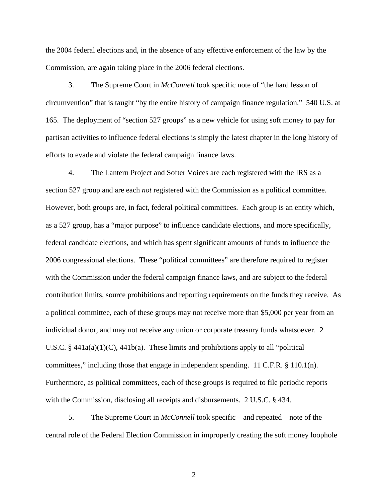the 2004 federal elections and, in the absence of any effective enforcement of the law by the Commission, are again taking place in the 2006 federal elections.

3. The Supreme Court in *McConnell* took specific note of "the hard lesson of circumvention" that is taught "by the entire history of campaign finance regulation." 540 U.S. at 165. The deployment of "section 527 groups" as a new vehicle for using soft money to pay for partisan activities to influence federal elections is simply the latest chapter in the long history of efforts to evade and violate the federal campaign finance laws.

4. The Lantern Project and Softer Voices are each registered with the IRS as a section 527 group and are each *not* registered with the Commission as a political committee. However, both groups are, in fact, federal political committees. Each group is an entity which, as a 527 group, has a "major purpose" to influence candidate elections, and more specifically, federal candidate elections, and which has spent significant amounts of funds to influence the 2006 congressional elections. These "political committees" are therefore required to register with the Commission under the federal campaign finance laws, and are subject to the federal contribution limits, source prohibitions and reporting requirements on the funds they receive. As a political committee, each of these groups may not receive more than \$5,000 per year from an individual donor, and may not receive any union or corporate treasury funds whatsoever. 2 U.S.C.  $\S$  441a(a)(1)(C), 441b(a). These limits and prohibitions apply to all "political committees," including those that engage in independent spending. 11 C.F.R.  $\S$  110.1(n). Furthermore, as political committees, each of these groups is required to file periodic reports with the Commission, disclosing all receipts and disbursements. 2 U.S.C. § 434.

5. The Supreme Court in *McConnell* took specific – and repeated – note of the central role of the Federal Election Commission in improperly creating the soft money loophole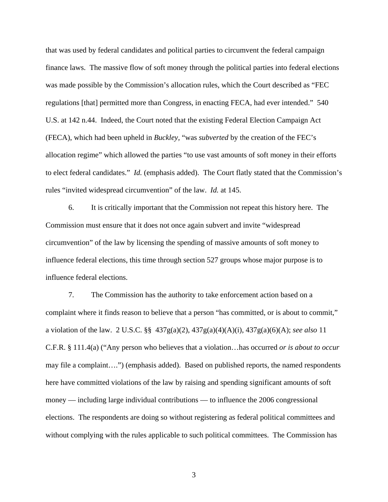that was used by federal candidates and political parties to circumvent the federal campaign finance laws. The massive flow of soft money through the political parties into federal elections was made possible by the Commission's allocation rules, which the Court described as "FEC regulations [that] permitted more than Congress, in enacting FECA, had ever intended." 540 U.S. at 142 n.44. Indeed, the Court noted that the existing Federal Election Campaign Act (FECA), which had been upheld in *Buckley,* "was *subverted* by the creation of the FEC's allocation regime" which allowed the parties "to use vast amounts of soft money in their efforts to elect federal candidates." *Id.* (emphasis added). The Court flatly stated that the Commission's rules "invited widespread circumvention" of the law. *Id.* at 145.

6. It is critically important that the Commission not repeat this history here. The Commission must ensure that it does not once again subvert and invite "widespread circumvention" of the law by licensing the spending of massive amounts of soft money to influence federal elections, this time through section 527 groups whose major purpose is to influence federal elections.

7. The Commission has the authority to take enforcement action based on a complaint where it finds reason to believe that a person "has committed, or is about to commit," a violation of the law. 2 U.S.C. §§ 437g(a)(2), 437g(a)(4)(A)(i), 437g(a)(6)(A); *see also* 11 C.F.R. § 111.4(a) ("Any person who believes that a violation…has occurred *or is about to occur* may file a complaint….") (emphasis added). Based on published reports, the named respondents here have committed violations of the law by raising and spending significant amounts of soft money — including large individual contributions — to influence the 2006 congressional elections. The respondents are doing so without registering as federal political committees and without complying with the rules applicable to such political committees. The Commission has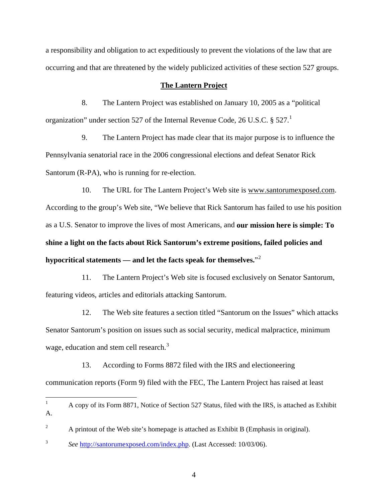a responsibility and obligation to act expeditiously to prevent the violations of the law that are occurring and that are threatened by the widely publicized activities of these section 527 groups.

### **The Lantern Project**

8. The Lantern Project was established on January 10, 2005 as a "political organization" under section 527 of the Internal Revenue Code, 26 U.S.C.  $\S 527$ .

9. The Lantern Project has made clear that its major purpose is to influence the Pennsylvania senatorial race in the 2006 congressional elections and defeat Senator Rick Santorum (R-PA), who is running for re-election.

10. The URL for The Lantern Project's Web site is www.santorumexposed.com. According to the group's Web site, "We believe that Rick Santorum has failed to use his position as a U.S. Senator to improve the lives of most Americans, and **our mission here is simple: To shine a light on the facts about Rick Santorum's extreme positions, failed policies and hypocritical statements — and let the facts speak for themselves.**"[2](#page-3-1)

11. The Lantern Project's Web site is focused exclusively on Senator Santorum, featuring videos, articles and editorials attacking Santorum.

12. The Web site features a section titled "Santorum on the Issues" which attacks Senator Santorum's position on issues such as social security, medical malpractice, minimum wage, education and stem cell research.<sup>[3](#page-3-2)</sup>

13. According to Forms 8872 filed with the IRS and electioneering communication reports (Form 9) filed with the FEC, The Lantern Project has raised at least

<span id="page-3-0"></span> $\frac{1}{1}$  A copy of its Form 8871, Notice of Section 527 Status, filed with the IRS, is attached as Exhibit A.

<span id="page-3-1"></span><sup>2</sup> A printout of the Web site's homepage is attached as Exhibit B (Emphasis in original).

<span id="page-3-2"></span><sup>3</sup> *See* [http://santorumexposed.com/index.php.](http://santorumexposed.com/index.php) (Last Accessed: 10/03/06).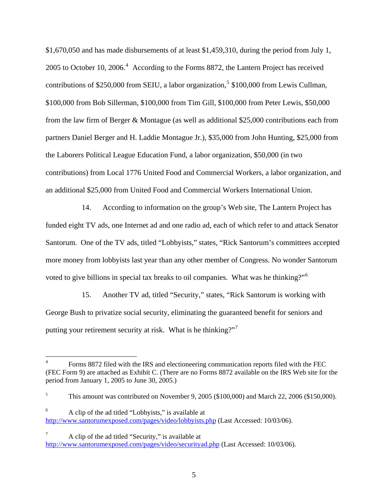\$1,670,050 and has made disbursements of at least \$1,459,310, during the period from July 1, 2005 to October 10, 2006. $4$  According to the Forms 8872, the Lantern Project has received contributions of \$2[5](#page-4-1)0,000 from SEIU, a labor organization,<sup>5</sup> \$100,000 from Lewis Cullman, \$100,000 from Bob Sillerman, \$100,000 from Tim Gill, \$100,000 from Peter Lewis, \$50,000 from the law firm of Berger & Montague (as well as additional \$25,000 contributions each from partners Daniel Berger and H. Laddie Montague Jr.), \$35,000 from John Hunting, \$25,000 from the Laborers Political League Education Fund, a labor organization, \$50,000 (in two contributions) from Local 1776 United Food and Commercial Workers, a labor organization, and an additional \$25,000 from United Food and Commercial Workers International Union.

14. According to information on the group's Web site, The Lantern Project has funded eight TV ads, one Internet ad and one radio ad, each of which refer to and attack Senator Santorum. One of the TV ads, titled "Lobbyists," states, "Rick Santorum's committees accepted more money from lobbyists last year than any other member of Congress. No wonder Santorum voted to give billions in special tax breaks to oil companies. What was he thinking?"<sup>[6](#page-4-2)</sup>

15. Another TV ad, titled "Security," states, "Rick Santorum is working with George Bush to privatize social security, eliminating the guaranteed benefit for seniors and putting your retirement security at risk. What is he thinking?"<sup>[7](#page-4-3)</sup>

<span id="page-4-0"></span> $\frac{1}{4}$  Forms 8872 filed with the IRS and electioneering communication reports filed with the FEC (FEC Form 9) are attached as Exhibit C. (There are no Forms 8872 available on the IRS Web site for the period from January 1, 2005 to June 30, 2005.)

<span id="page-4-1"></span><sup>5</sup> This amount was contributed on November 9, 2005 (\$100,000) and March 22, 2006 (\$150,000).

<span id="page-4-2"></span><sup>6</sup> A clip of the ad titled "Lobbyists," is available at <http://www.santorumexposed.com/pages/video/lobbyists.php> (Last Accessed: 10/03/06).

<span id="page-4-3"></span><sup>7</sup> A clip of the ad titled "Security," is available at [http://www.santorumexposed.com/pages/video/securityad.php](http://www.santorumexposed.com/%20pages/video/securityad.php) (Last Accessed: 10/03/06).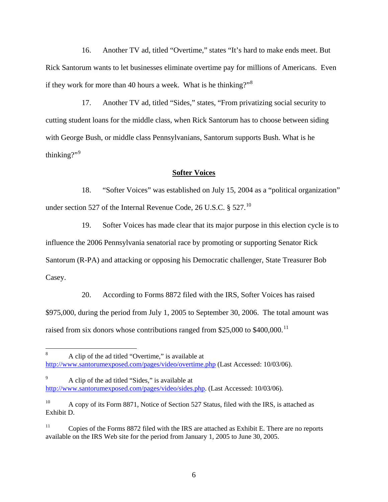16. Another TV ad, titled "Overtime," states "It's hard to make ends meet. But Rick Santorum wants to let businesses eliminate overtime pay for millions of Americans. Even if they work for more than 40 hours a week. What is he thinking?"<sup>[8](#page-5-0)</sup>

17. Another TV ad, titled "Sides," states, "From privatizing social security to cutting student loans for the middle class, when Rick Santorum has to choose between siding with George Bush, or middle class Pennsylvanians, Santorum supports Bush. What is he thinking?" $9$ 

### **Softer Voices**

18. "Softer Voices" was established on July 15, 2004 as a "political organization" under section 527 of the Internal Revenue Code, 26 U.S.C.  $\S 527$ .<sup>[10](#page-5-2)</sup>

19. Softer Voices has made clear that its major purpose in this election cycle is to influence the 2006 Pennsylvania senatorial race by promoting or supporting Senator Rick Santorum (R-PA) and attacking or opposing his Democratic challenger, State Treasurer Bob Casey.

20. According to Forms 8872 filed with the IRS, Softer Voices has raised \$975,000, during the period from July 1, 2005 to September 30, 2006. The total amount was raised from six donors whose contributions ranged from \$25,000 to \$400,000.<sup>[11](#page-5-3)</sup>

 $\overline{a}$ 

<span id="page-5-0"></span><sup>8</sup> A clip of the ad titled "Overtime," is available at [http://www.santorumexposed.com/pages/video/overtime.php](http://www.santorumexposed.com/%20pages/video/overtime.php) (Last Accessed: 10/03/06).

<span id="page-5-1"></span><sup>9</sup> A clip of the ad titled "Sides," is available at [http://www.santorumexposed.com/pages/video/sides.php](http://www.santorumexposed.com/pages/video%20/sides.php). (Last Accessed: 10/03/06).

<span id="page-5-2"></span><sup>&</sup>lt;sup>10</sup> A copy of its Form 8871, Notice of Section 527 Status, filed with the IRS, is attached as Exhibit D.

<span id="page-5-3"></span><sup>&</sup>lt;sup>11</sup> Copies of the Forms 8872 filed with the IRS are attached as Exhibit E. There are no reports available on the IRS Web site for the period from January 1, 2005 to June 30, 2005.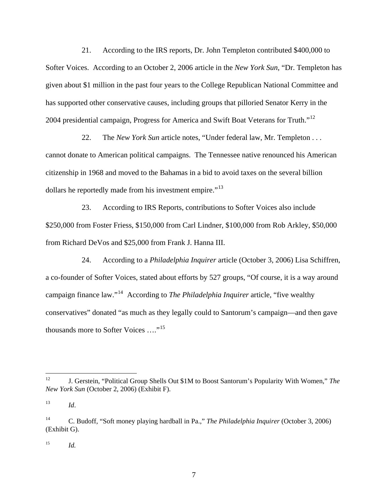21. According to the IRS reports, Dr. John Templeton contributed \$400,000 to Softer Voices. According to an October 2, 2006 article in the *New York Sun*, "Dr. Templeton has given about \$1 million in the past four years to the College Republican National Committee and has supported other conservative causes, including groups that pilloried Senator Kerry in the 2004 presidential campaign, Progress for America and Swift Boat Veterans for Truth."<sup>[12](#page-6-0)</sup>

22. The *New York Sun* article notes, "Under federal law, Mr. Templeton . . . cannot donate to American political campaigns. The Tennessee native renounced his American citizenship in 1968 and moved to the Bahamas in a bid to avoid taxes on the several billion dollars he reportedly made from his investment empire."<sup>[13](#page-6-1)</sup>

23. According to IRS Reports, contributions to Softer Voices also include \$250,000 from Foster Friess, \$150,000 from Carl Lindner, \$100,000 from Rob Arkley, \$50,000 from Richard DeVos and \$25,000 from Frank J. Hanna III.

24. According to a *Philadelphia Inquirer* article (October 3, 2006) Lisa Schiffren, a co-founder of Softer Voices, stated about efforts by 527 groups, "Of course, it is a way around campaign finance law."[14](#page-6-2) According to *The Philadelphia Inquirer* article, "five wealthy conservatives" donated "as much as they legally could to Santorum's campaign—and then gave thousands more to Softer Voices …."[15](#page-6-3)

<span id="page-6-3"></span> $^{15}$  *Id.* 

<span id="page-6-0"></span> $12$ 12 J. Gerstein, "Political Group Shells Out \$1M to Boost Santorum's Popularity With Women," *The New York Sun* (October 2, 2006) (Exhibit F).

<span id="page-6-1"></span><sup>13</sup> *Id*.

<span id="page-6-2"></span><sup>14</sup> C. Budoff, "Soft money playing hardball in Pa.," *The Philadelphia Inquirer* (October 3, 2006) (Exhibit G).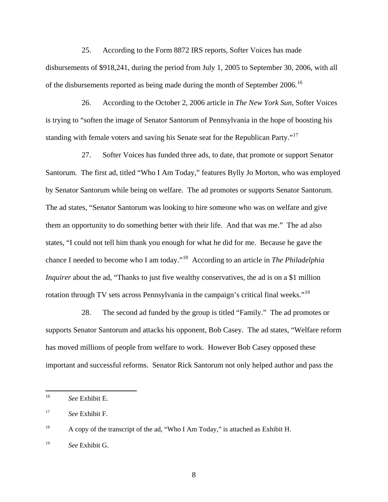25. According to the Form 8872 IRS reports, Softer Voices has made disbursements of \$918,241, during the period from July 1, 2005 to September 30, 2006, with all of the disbursements reported as being made during the month of September 2006.<sup>[16](#page-7-0)</sup>

26. According to the October 2, 2006 article in *The New York Sun*, Softer Voices is trying to "soften the image of Senator Santorum of Pennsylvania in the hope of boosting his standing with female voters and saving his Senate seat for the Republican Party."<sup>[17](#page-7-1)</sup>

27. Softer Voices has funded three ads, to date, that promote or support Senator Santorum. The first ad, titled "Who I Am Today," features Bylly Jo Morton, who was employed by Senator Santorum while being on welfare. The ad promotes or supports Senator Santorum. The ad states, "Senator Santorum was looking to hire someone who was on welfare and give them an opportunity to do something better with their life. And that was me." The ad also states, "I could not tell him thank you enough for what he did for me. Because he gave the chance I needed to become who I am today."[18](#page-7-2) According to an article in *The Philadelphia Inquirer* about the ad, "Thanks to just five wealthy conservatives, the ad is on a \$1 million rotation through TV sets across Pennsylvania in the campaign's critical final weeks."[19](#page-7-3)

28. The second ad funded by the group is titled "Family." The ad promotes or supports Senator Santorum and attacks his opponent, Bob Casey. The ad states, "Welfare reform has moved millions of people from welfare to work. However Bob Casey opposed these important and successful reforms. Senator Rick Santorum not only helped author and pass the

<span id="page-7-0"></span> $16\,$ <sup>16</sup> *See* Exhibit E.

<span id="page-7-1"></span><sup>17</sup> *See* Exhibit F.

<span id="page-7-2"></span><sup>&</sup>lt;sup>18</sup> A copy of the transcript of the ad, "Who I Am Today," is attached as Exhibit H.

<span id="page-7-3"></span><sup>19</sup> *See* Exhibit G.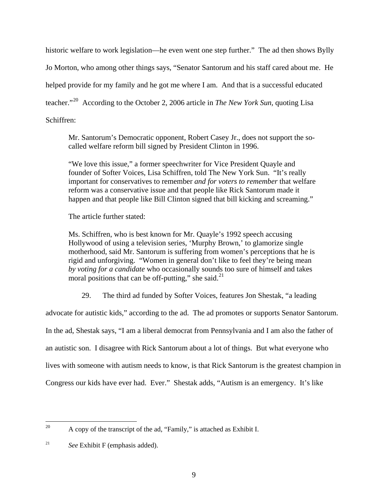historic welfare to work legislation—he even went one step further." The ad then shows Bylly Jo Morton, who among other things says, "Senator Santorum and his staff cared about me. He helped provide for my family and he got me where I am. And that is a successful educated teacher."[20](#page-8-0) According to the October 2, 2006 article in *The New York Sun,* quoting Lisa Schiffren:

Mr. Santorum's Democratic opponent, Robert Casey Jr., does not support the socalled welfare reform bill signed by President Clinton in 1996.

"We love this issue," a former speechwriter for Vice President Quayle and founder of Softer Voices, Lisa Schiffren, told The New York Sun. "It's really important for conservatives to remember *and for voters to remember* that welfare reform was a conservative issue and that people like Rick Santorum made it happen and that people like Bill Clinton signed that bill kicking and screaming."

The article further stated:

Ms. Schiffren, who is best known for Mr. Quayle's 1992 speech accusing Hollywood of using a television series, 'Murphy Brown,' to glamorize single motherhood, said Mr. Santorum is suffering from women's perceptions that he is rigid and unforgiving. "Women in general don't like to feel they're being mean *by voting for a candidate* who occasionally sounds too sure of himself and takes moral positions that can be off-putting," she said. $^{21}$  $^{21}$  $^{21}$ 

29. The third ad funded by Softer Voices, features Jon Shestak, "a leading

advocate for autistic kids," according to the ad. The ad promotes or supports Senator Santorum.

In the ad, Shestak says, "I am a liberal democrat from Pennsylvania and I am also the father of

an autistic son. I disagree with Rick Santorum about a lot of things. But what everyone who

lives with someone with autism needs to know, is that Rick Santorum is the greatest champion in

Congress our kids have ever had. Ever." Shestak adds, "Autism is an emergency. It's like

<span id="page-8-0"></span><sup>20</sup> A copy of the transcript of the ad, "Family," is attached as Exhibit I.

<span id="page-8-1"></span><sup>21</sup> *See* Exhibit F (emphasis added).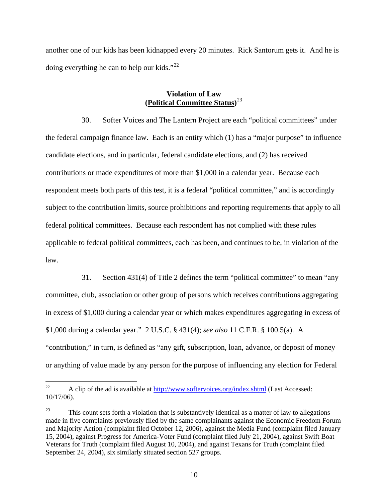another one of our kids has been kidnapped every 20 minutes. Rick Santorum gets it. And he is doing everything he can to help our kids."<sup>[22](#page-9-0)</sup>

### **Violation of Law (Political Committee Status)** [23](#page-9-1)

30. Softer Voices and The Lantern Project are each "political committees" under the federal campaign finance law. Each is an entity which (1) has a "major purpose" to influence candidate elections, and in particular, federal candidate elections, and (2) has received contributions or made expenditures of more than \$1,000 in a calendar year. Because each respondent meets both parts of this test, it is a federal "political committee," and is accordingly subject to the contribution limits, source prohibitions and reporting requirements that apply to all federal political committees. Because each respondent has not complied with these rules applicable to federal political committees, each has been, and continues to be, in violation of the law.

31. Section 431(4) of Title 2 defines the term "political committee" to mean "any committee, club, association or other group of persons which receives contributions aggregating in excess of \$1,000 during a calendar year or which makes expenditures aggregating in excess of \$1,000 during a calendar year." 2 U.S.C. § 431(4); *see also* 11 C.F.R. § 100.5(a). A "contribution," in turn, is defined as "any gift, subscription, loan, advance, or deposit of money or anything of value made by any person for the purpose of influencing any election for Federal

<span id="page-9-0"></span> $22$ A clip of the ad is available at<http://www.softervoices.org/index.shtml> (Last Accessed: 10/17/06).

<span id="page-9-1"></span> $23$  This count sets forth a violation that is substantively identical as a matter of law to allegations made in five complaints previously filed by the same complainants against the Economic Freedom Forum and Majority Action (complaint filed October 12, 2006), against the Media Fund (complaint filed January 15, 2004), against Progress for America-Voter Fund (complaint filed July 21, 2004), against Swift Boat Veterans for Truth (complaint filed August 10, 2004), and against Texans for Truth (complaint filed September 24, 2004), six similarly situated section 527 groups.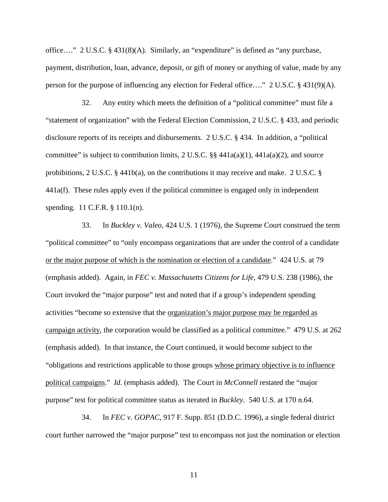office…." 2 U.S.C. § 431(8)(A). Similarly, an "expenditure" is defined as "any purchase, payment, distribution, loan, advance, deposit, or gift of money or anything of value, made by any person for the purpose of influencing any election for Federal office…." 2 U.S.C. § 431(9)(A).

32. Any entity which meets the definition of a "political committee" must file a "statement of organization" with the Federal Election Commission, 2 U.S.C. § 433, and periodic disclosure reports of its receipts and disbursements. 2 U.S.C. § 434. In addition, a "political committee" is subject to contribution limits, 2 U.S.C. §§  $441a(a)(1)$ ,  $441a(a)(2)$ , and source prohibitions, 2 U.S.C. § 441b(a), on the contributions it may receive and make. 2 U.S.C. § 441a(f). These rules apply even if the political committee is engaged only in independent spending. 11 C.F.R. § 110.1(n).

33. In *Buckley v. Valeo,* 424 U.S. 1 (1976), the Supreme Court construed the term "political committee" to "only encompass organizations that are under the control of a candidate or the major purpose of which is the nomination or election of a candidate." 424 U.S. at 79 (emphasis added). Again, in *FEC v. Massachusetts Citizens for Life,* 479 U.S. 238 (1986), the Court invoked the "major purpose" test and noted that if a group's independent spending activities "become so extensive that the organization's major purpose may be regarded as campaign activity, the corporation would be classified as a political committee." 479 U.S. at 262 (emphasis added). In that instance, the Court continued, it would become subject to the "obligations and restrictions applicable to those groups whose primary objective is to influence political campaigns." *Id.* (emphasis added). The Court in *McConnell* restated the "major purpose" test for political committee status as iterated in *Buckley*. 540 U.S. at 170 n.64.

34. In *FEC v. GOPAC,* 917 F. Supp. 851 (D.D.C. 1996), a single federal district court further narrowed the "major purpose" test to encompass not just the nomination or election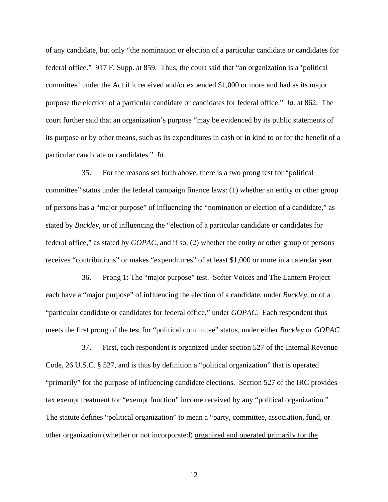of any candidate, but only "the nomination or election of a particular candidate or candidates for federal office." 917 F. Supp. at 859. Thus, the court said that "an organization is a 'political committee' under the Act if it received and/or expended \$1,000 or more and had as its major purpose the election of a particular candidate or candidates for federal office." *Id.* at 862. The court further said that an organization's purpose "may be evidenced by its public statements of its purpose or by other means, such as its expenditures in cash or in kind to or for the benefit of a particular candidate or candidates." *Id.*

35. For the reasons set forth above, there is a two prong test for "political committee" status under the federal campaign finance laws: (1) whether an entity or other group of persons has a "major purpose" of influencing the "nomination or election of a candidate," as stated by *Buckley,* or of influencing the "election of a particular candidate or candidates for federal office," as stated by *GOPAC,* and if so, (2) whether the entity or other group of persons receives "contributions" or makes "expenditures" of at least \$1,000 or more in a calendar year.

36. Prong 1: The "major purpose" test. Softer Voices and The Lantern Project each have a "major purpose" of influencing the election of a candidate, under *Buckley,* or of a "particular candidate or candidates for federal office," under *GOPAC.* Each respondent thus meets the first prong of the test for "political committee" status, under either *Buckley* or *GOPAC.*

37. First, each respondent is organized under section 527 of the Internal Revenue Code, 26 U.S.C. § 527, and is thus by definition a "political organization" that is operated "primarily" for the purpose of influencing candidate elections. Section 527 of the IRC provides tax exempt treatment for "exempt function" income received by any "political organization." The statute defines "political organization" to mean a "party, committee, association, fund, or other organization (whether or not incorporated) organized and operated primarily for the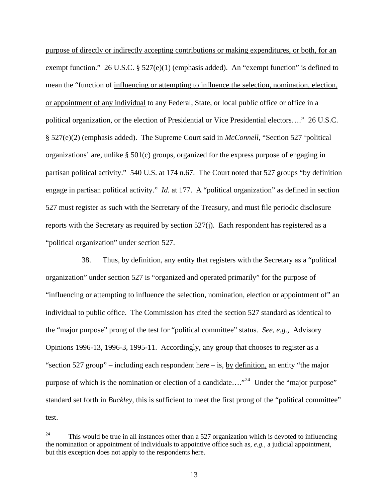purpose of directly or indirectly accepting contributions or making expenditures, or both, for an exempt function." 26 U.S.C. § 527(e)(1) (emphasis added). An "exempt function" is defined to mean the "function of influencing or attempting to influence the selection, nomination, election, or appointment of any individual to any Federal, State, or local public office or office in a political organization, or the election of Presidential or Vice Presidential electors…." 26 U.S.C. § 527(e)(2) (emphasis added). The Supreme Court said in *McConnell,* "Section 527 'political organizations' are, unlike § 501(c) groups, organized for the express purpose of engaging in partisan political activity." 540 U.S. at 174 n.67. The Court noted that 527 groups "by definition engage in partisan political activity." *Id.* at 177. A "political organization" as defined in section 527 must register as such with the Secretary of the Treasury, and must file periodic disclosure reports with the Secretary as required by section 527(j). Each respondent has registered as a "political organization" under section 527.

38. Thus, by definition, any entity that registers with the Secretary as a "political organization" under section 527 is "organized and operated primarily" for the purpose of "influencing or attempting to influence the selection, nomination, election or appointment of" an individual to public office. The Commission has cited the section 527 standard as identical to the "major purpose" prong of the test for "political committee" status. *See, e.g.,* Advisory Opinions 1996-13, 1996-3, 1995-11. Accordingly, any group that chooses to register as a "section 527 group" – including each respondent here – is, by definition, an entity "the major purpose of which is the nomination or election of a candidate...."<sup>[24](#page-12-0)</sup> Under the "major purpose" standard set forth in *Buckley*, this is sufficient to meet the first prong of the "political committee" test.

<span id="page-12-0"></span> $24$ 24 This would be true in all instances other than a 527 organization which is devoted to influencing the nomination or appointment of individuals to appointive office such as, *e.g.,* a judicial appointment, but this exception does not apply to the respondents here.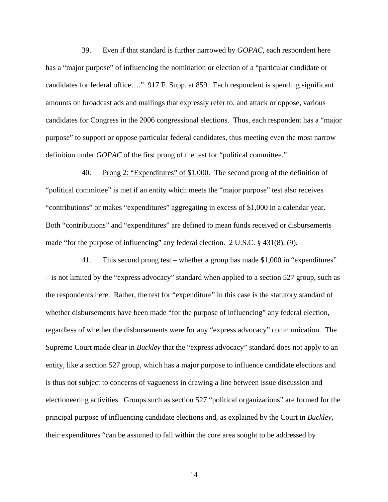39. Even if that standard is further narrowed by *GOPAC,* each respondent here has a "major purpose" of influencing the nomination or election of a "particular candidate or candidates for federal office…." 917 F. Supp. at 859. Each respondent is spending significant amounts on broadcast ads and mailings that expressly refer to, and attack or oppose, various candidates for Congress in the 2006 congressional elections. Thus, each respondent has a "major purpose" to support or oppose particular federal candidates, thus meeting even the most narrow definition under *GOPAC* of the first prong of the test for "political committee."

40. Prong 2: "Expenditures" of \$1,000. The second prong of the definition of "political committee" is met if an entity which meets the "major purpose" test also receives "contributions" or makes "expenditures" aggregating in excess of \$1,000 in a calendar year. Both "contributions" and "expenditures" are defined to mean funds received or disbursements made "for the purpose of influencing" any federal election. 2 U.S.C. § 431(8), (9).

41. This second prong test – whether a group has made \$1,000 in "expenditures" – is not limited by the "express advocacy" standard when applied to a section 527 group, such as the respondents here. Rather, the test for "expenditure" in this case is the statutory standard of whether disbursements have been made "for the purpose of influencing" any federal election, regardless of whether the disbursements were for any "express advocacy" communication. The Supreme Court made clear in *Buckley* that the "express advocacy" standard does not apply to an entity, like a section 527 group, which has a major purpose to influence candidate elections and is thus not subject to concerns of vagueness in drawing a line between issue discussion and electioneering activities. Groups such as section 527 "political organizations" are formed for the principal purpose of influencing candidate elections and, as explained by the Court in *Buckley,* their expenditures "can be assumed to fall within the core area sought to be addressed by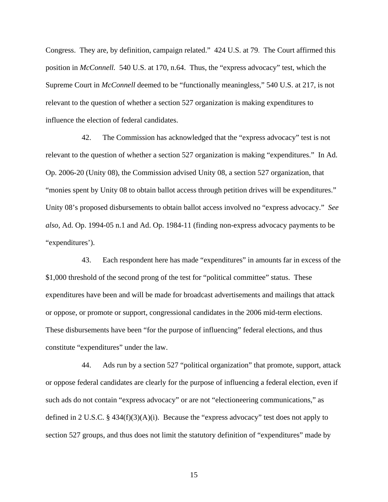Congress. They are, by definition, campaign related." 424 U.S. at 79.The Court affirmed this position in *McConnell.* 540 U.S. at 170, n.64. Thus, the "express advocacy" test, which the Supreme Court in *McConnell* deemed to be "functionally meaningless," 540 U.S. at 217, is not relevant to the question of whether a section 527 organization is making expenditures to influence the election of federal candidates.

42. The Commission has acknowledged that the "express advocacy" test is not relevant to the question of whether a section 527 organization is making "expenditures." In Ad. Op. 2006-20 (Unity 08), the Commission advised Unity 08, a section 527 organization, that "monies spent by Unity 08 to obtain ballot access through petition drives will be expenditures." Unity 08's proposed disbursements to obtain ballot access involved no "express advocacy." *See also*, Ad. Op. 1994-05 n.1 and Ad. Op. 1984-11 (finding non-express advocacy payments to be "expenditures').

43. Each respondent here has made "expenditures" in amounts far in excess of the \$1,000 threshold of the second prong of the test for "political committee" status. These expenditures have been and will be made for broadcast advertisements and mailings that attack or oppose, or promote or support, congressional candidates in the 2006 mid-term elections. These disbursements have been "for the purpose of influencing" federal elections, and thus constitute "expenditures" under the law.

44. Ads run by a section 527 "political organization" that promote, support, attack or oppose federal candidates are clearly for the purpose of influencing a federal election, even if such ads do not contain "express advocacy" or are not "electioneering communications," as defined in 2 U.S.C.  $\S$  434(f)(3)(A)(i). Because the "express advocacy" test does not apply to section 527 groups, and thus does not limit the statutory definition of "expenditures" made by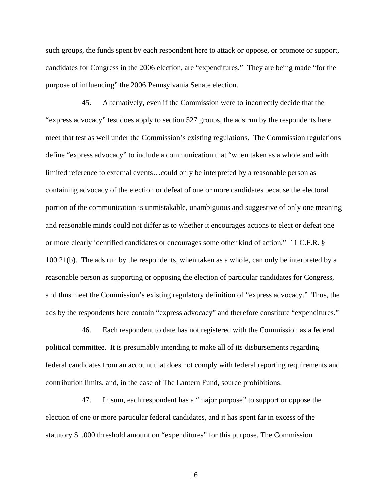such groups, the funds spent by each respondent here to attack or oppose, or promote or support, candidates for Congress in the 2006 election, are "expenditures." They are being made "for the purpose of influencing" the 2006 Pennsylvania Senate election.

45. Alternatively, even if the Commission were to incorrectly decide that the "express advocacy" test does apply to section 527 groups, the ads run by the respondents here meet that test as well under the Commission's existing regulations. The Commission regulations define "express advocacy" to include a communication that "when taken as a whole and with limited reference to external events…could only be interpreted by a reasonable person as containing advocacy of the election or defeat of one or more candidates because the electoral portion of the communication is unmistakable, unambiguous and suggestive of only one meaning and reasonable minds could not differ as to whether it encourages actions to elect or defeat one or more clearly identified candidates or encourages some other kind of action." 11 C.F.R. § 100.21(b). The ads run by the respondents, when taken as a whole, can only be interpreted by a reasonable person as supporting or opposing the election of particular candidates for Congress, and thus meet the Commission's existing regulatory definition of "express advocacy." Thus, the ads by the respondents here contain "express advocacy" and therefore constitute "expenditures."

46. Each respondent to date has not registered with the Commission as a federal political committee. It is presumably intending to make all of its disbursements regarding federal candidates from an account that does not comply with federal reporting requirements and contribution limits, and, in the case of The Lantern Fund, source prohibitions.

47. In sum, each respondent has a "major purpose" to support or oppose the election of one or more particular federal candidates, and it has spent far in excess of the statutory \$1,000 threshold amount on "expenditures" for this purpose. The Commission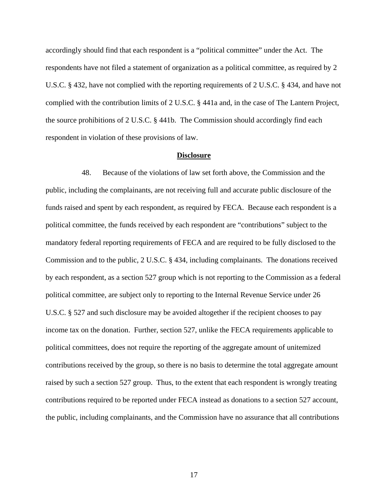accordingly should find that each respondent is a "political committee" under the Act. The respondents have not filed a statement of organization as a political committee, as required by 2 U.S.C. § 432, have not complied with the reporting requirements of 2 U.S.C. § 434, and have not complied with the contribution limits of 2 U.S.C. § 441a and, in the case of The Lantern Project, the source prohibitions of 2 U.S.C. § 441b. The Commission should accordingly find each respondent in violation of these provisions of law.

#### **Disclosure**

48. Because of the violations of law set forth above, the Commission and the public, including the complainants, are not receiving full and accurate public disclosure of the funds raised and spent by each respondent, as required by FECA. Because each respondent is a political committee, the funds received by each respondent are "contributions" subject to the mandatory federal reporting requirements of FECA and are required to be fully disclosed to the Commission and to the public, 2 U.S.C. § 434, including complainants. The donations received by each respondent, as a section 527 group which is not reporting to the Commission as a federal political committee, are subject only to reporting to the Internal Revenue Service under 26 U.S.C. § 527 and such disclosure may be avoided altogether if the recipient chooses to pay income tax on the donation. Further, section 527, unlike the FECA requirements applicable to political committees, does not require the reporting of the aggregate amount of unitemized contributions received by the group, so there is no basis to determine the total aggregate amount raised by such a section 527 group. Thus, to the extent that each respondent is wrongly treating contributions required to be reported under FECA instead as donations to a section 527 account, the public, including complainants, and the Commission have no assurance that all contributions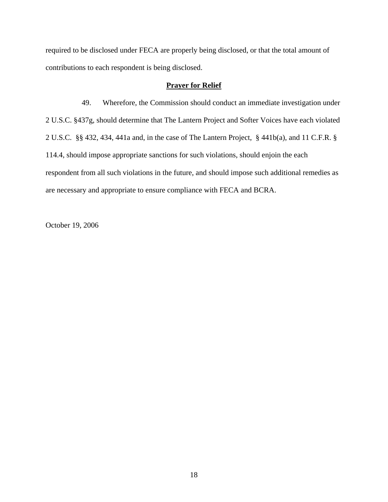required to be disclosed under FECA are properly being disclosed, or that the total amount of contributions to each respondent is being disclosed.

# **Prayer for Relief**

49. Wherefore, the Commission should conduct an immediate investigation under 2 U.S.C. §437g, should determine that The Lantern Project and Softer Voices have each violated 2 U.S.C. §§ 432, 434, 441a and, in the case of The Lantern Project, § 441b(a), and 11 C.F.R. § 114.4, should impose appropriate sanctions for such violations, should enjoin the each respondent from all such violations in the future, and should impose such additional remedies as are necessary and appropriate to ensure compliance with FECA and BCRA.

October 19, 2006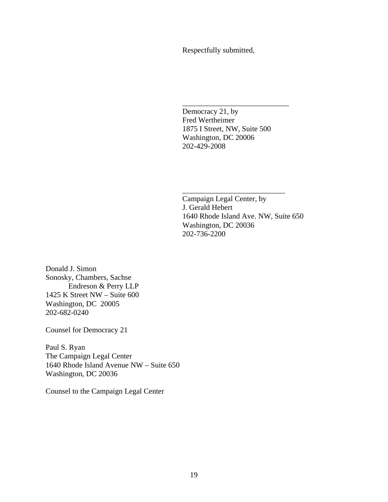Respectfully submitted,

 $\overline{\phantom{a}}$  , and the contract of the contract of the contract of the contract of the contract of the contract of the contract of the contract of the contract of the contract of the contract of the contract of the contrac

 Democracy 21, by Fred Wertheimer 1875 I Street, NW, Suite 500 Washington, DC 20006 202-429-2008

Campaign Legal Center, by J. Gerald Hebert 1640 Rhode Island Ave. NW, Suite 650 Washington, DC 20036 202-736-2200

\_\_\_\_\_\_\_\_\_\_\_\_\_\_\_\_\_\_\_\_\_\_\_\_\_\_\_

Donald J. Simon Sonosky, Chambers, Sachse Endreson & Perry LLP 1425 K Street NW – Suite 600 Washington, DC 20005 202-682-0240

Counsel for Democracy 21

Paul S. Ryan The Campaign Legal Center 1640 Rhode Island Avenue NW – Suite 650 Washington, DC 20036

Counsel to the Campaign Legal Center